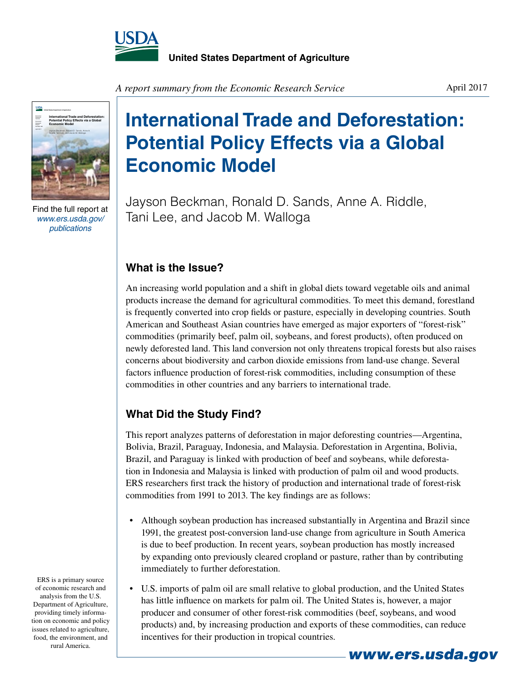



Find the full report at *www.ers.usda.gov/ publications*

*A report summary from the Economic Research Service*

## **International Trade and Deforestation: Potential Policy Effects via a Global Economic Model**

Jayson Beckman, Ronald D. Sands, Anne A. Riddle, Tani Lee, and Jacob M. Walloga

## **What is the Issue?**

An increasing world population and a shift in global diets toward vegetable oils and animal products increase the demand for agricultural commodities. To meet this demand, forestland is frequently converted into crop fields or pasture, especially in developing countries. South American and Southeast Asian countries have emerged as major exporters of "forest-risk" commodities (primarily beef, palm oil, soybeans, and forest products), often produced on newly deforested land. This land conversion not only threatens tropical forests but also raises concerns about biodiversity and carbon dioxide emissions from land-use change. Several factors influence production of forest-risk commodities, including consumption of these commodities in other countries and any barriers to international trade.

## **What Did the Study Find?**

This report analyzes patterns of deforestation in major deforesting countries—Argentina, Bolivia, Brazil, Paraguay, Indonesia, and Malaysia. Deforestation in Argentina, Bolivia, Brazil, and Paraguay is linked with production of beef and soybeans, while deforestation in Indonesia and Malaysia is linked with production of palm oil and wood products. ERS researchers first track the history of production and international trade of forest-risk commodities from 1991 to 2013. The key findings are as follows:

- Although soybean production has increased substantially in Argentina and Brazil since 1991, the greatest post-conversion land-use change from agriculture in South America is due to beef production. In recent years, soybean production has mostly increased by expanding onto previously cleared cropland or pasture, rather than by contributing immediately to further deforestation.
- • U.S. imports of palm oil are small relative to global production, and the United States has little influence on markets for palm oil. The United States is, however, a major producer and consumer of other forest-risk commodities (beef, soybeans, and wood products) and, by increasing production and exports of these commodities, can reduce incentives for their production in tropical countries.

ERS is a primary source of economic research and analysis from the U.S. Department of Agriculture, providing timely information on economic and policy issues related to agriculture, food, the environment, and rural America.